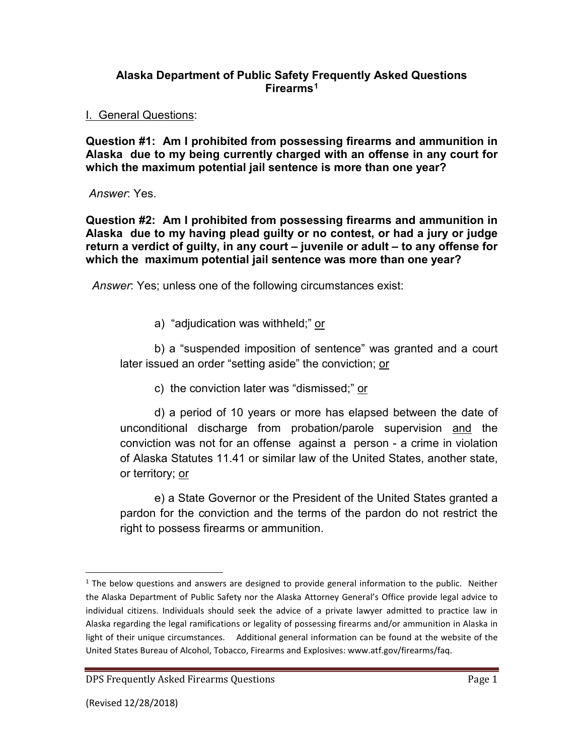### **Alaska Department of Public Safety Frequently Asked Questions Firearms[1](#page-0-0)**

I. General Questions:

**Question #1: Am I prohibited from possessing firearms and ammunition in Alaska due to my being currently charged with an offense in any court for which the maximum potential jail sentence is more than one year?** 

*Answer*: Yes.

**Question #2: Am I prohibited from possessing firearms and ammunition in Alaska due to my having plead guilty or no contest, or had a jury or judge return a verdict of guilty, in any court – juvenile or adult – to any offense for which the maximum potential jail sentence was more than one year?**

*Answer*: Yes; unless one of the following circumstances exist:

a) "adjudication was withheld;" or

b) a "suspended imposition of sentence" was granted and a court later issued an order "setting aside" the conviction; or

c) the conviction later was "dismissed;" or

d) a period of 10 years or more has elapsed between the date of unconditional discharge from probation/parole supervision and the conviction was not for an offense against a person - a crime in violation of Alaska Statutes 11.41 or similar law of the United States, another state, or territory; or

e) a State Governor or the President of the United States granted a pardon for the conviction and the terms of the pardon do not restrict the right to possess firearms or ammunition.

<span id="page-0-0"></span> $<sup>1</sup>$  The below questions and answers are designed to provide general information to the public. Neither</sup> the Alaska Department of Public Safety nor the Alaska Attorney General's Office provide legal advice to individual citizens. Individuals should seek the advice of a private lawyer admitted to practice law in Alaska regarding the legal ramifications or legality of possessing firearms and/or ammunition in Alaska in light of their unique circumstances. Additional general information can be found at the website of the United States Bureau of Alcohol, Tobacco, Firearms and Explosives: www.atf.gov/firearms/faq.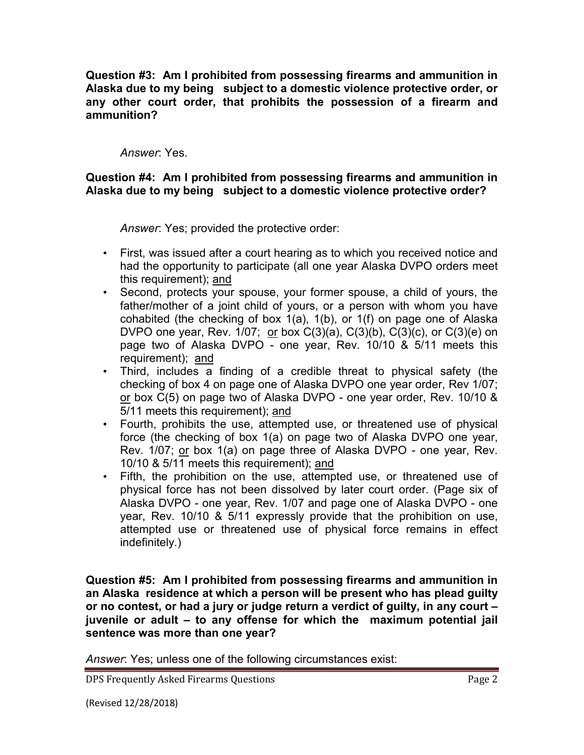**Question #3: Am I prohibited from possessing firearms and ammunition in Alaska due to my being subject to a domestic violence protective order, or any other court order, that prohibits the possession of a firearm and ammunition?**

*Answer*: Yes.

### **Question #4: Am I prohibited from possessing firearms and ammunition in Alaska due to my being subject to a domestic violence protective order?**

*Answer*: Yes; provided the protective order:

- First, was issued after a court hearing as to which you received notice and had the opportunity to participate (all one year Alaska DVPO orders meet this requirement); and
- Second, protects your spouse, your former spouse, a child of yours, the father/mother of a joint child of yours, or a person with whom you have cohabited (the checking of box 1(a), 1(b), or 1(f) on page one of Alaska DVPO one year, Rev.  $1/07$ ; or box  $C(3)(a)$ ,  $C(3)(b)$ ,  $C(3)(c)$ , or  $C(3)(e)$  on page two of Alaska DVPO - one year, Rev. 10/10 & 5/11 meets this requirement); and
- Third, includes a finding of a credible threat to physical safety (the checking of box 4 on page one of Alaska DVPO one year order, Rev 1/07; or box C(5) on page two of Alaska DVPO - one year order, Rev. 10/10 & 5/11 meets this requirement); and
- Fourth, prohibits the use, attempted use, or threatened use of physical force (the checking of box 1(a) on page two of Alaska DVPO one year, Rev. 1/07; or box 1(a) on page three of Alaska DVPO - one year, Rev. 10/10 & 5/11 meets this requirement); and
- Fifth, the prohibition on the use, attempted use, or threatened use of physical force has not been dissolved by later court order. (Page six of Alaska DVPO - one year, Rev. 1/07 and page one of Alaska DVPO - one year, Rev. 10/10 & 5/11 expressly provide that the prohibition on use, attempted use or threatened use of physical force remains in effect indefinitely.)

**Question #5: Am I prohibited from possessing firearms and ammunition in an Alaska residence at which a person will be present who has plead guilty or no contest, or had a jury or judge return a verdict of guilty, in any court – juvenile or adult – to any offense for which the maximum potential jail sentence was more than one year?** 

*Answer*: Yes; unless one of the following circumstances exist:

DPS Frequently Asked Firearms Questions **Page 2** and the page 2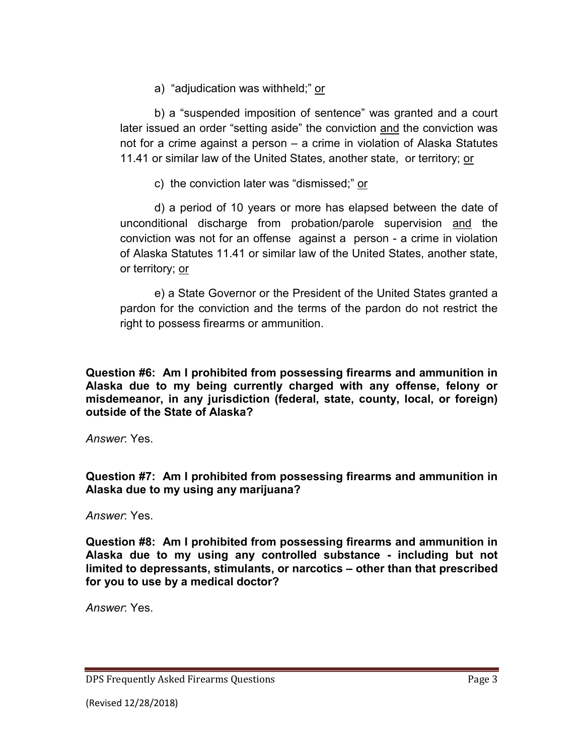a) "adjudication was withheld;" or

b) a "suspended imposition of sentence" was granted and a court later issued an order "setting aside" the conviction and the conviction was not for a crime against a person – a crime in violation of Alaska Statutes 11.41 or similar law of the United States, another state, or territory; or

c) the conviction later was "dismissed;" or

d) a period of 10 years or more has elapsed between the date of unconditional discharge from probation/parole supervision and the conviction was not for an offense against a person - a crime in violation of Alaska Statutes 11.41 or similar law of the United States, another state, or territory; or

e) a State Governor or the President of the United States granted a pardon for the conviction and the terms of the pardon do not restrict the right to possess firearms or ammunition.

**Question #6: Am I prohibited from possessing firearms and ammunition in Alaska due to my being currently charged with any offense, felony or misdemeanor, in any jurisdiction (federal, state, county, local, or foreign) outside of the State of Alaska?**

*Answer*: Yes.

**Question #7: Am I prohibited from possessing firearms and ammunition in Alaska due to my using any marijuana?**

*Answer*: Yes.

**Question #8: Am I prohibited from possessing firearms and ammunition in Alaska due to my using any controlled substance - including but not limited to depressants, stimulants, or narcotics – other than that prescribed for you to use by a medical doctor?**

*Answer*: Yes.

DPS Frequently Asked Firearms Questions **Page 3** Page 3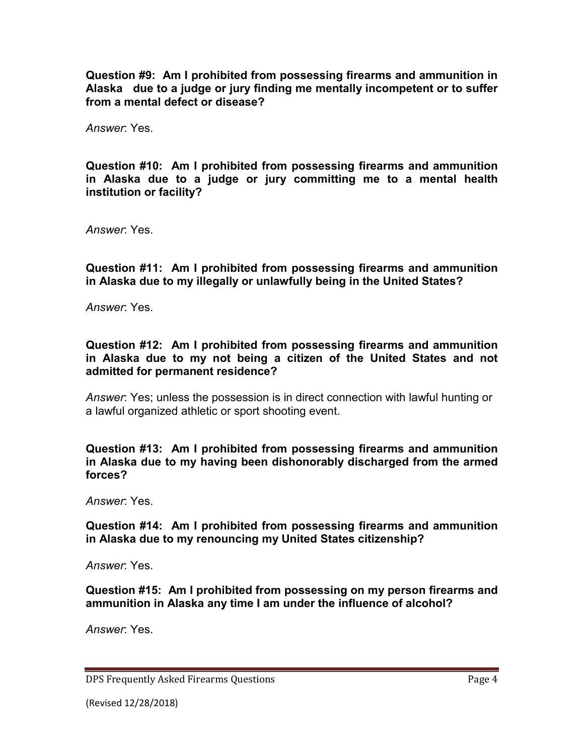**Question #9: Am I prohibited from possessing firearms and ammunition in Alaska due to a judge or jury finding me mentally incompetent or to suffer from a mental defect or disease?** 

*Answer*: Yes.

**Question #10: Am I prohibited from possessing firearms and ammunition in Alaska due to a judge or jury committing me to a mental health institution or facility?** 

*Answer*: Yes.

**Question #11: Am I prohibited from possessing firearms and ammunition in Alaska due to my illegally or unlawfully being in the United States?** 

*Answer*: Yes.

**Question #12: Am I prohibited from possessing firearms and ammunition in Alaska due to my not being a citizen of the United States and not admitted for permanent residence?** 

*Answer*: Yes; unless the possession is in direct connection with lawful hunting or a lawful organized athletic or sport shooting event.

**Question #13: Am I prohibited from possessing firearms and ammunition in Alaska due to my having been dishonorably discharged from the armed forces?** 

*Answer*: Yes.

**Question #14: Am I prohibited from possessing firearms and ammunition in Alaska due to my renouncing my United States citizenship?** 

*Answer*: Yes.

**Question #15: Am I prohibited from possessing on my person firearms and ammunition in Alaska any time I am under the influence of alcohol?** 

*Answer*: Yes.

DPS Frequently Asked Firearms Questions **Page 4** and the page 4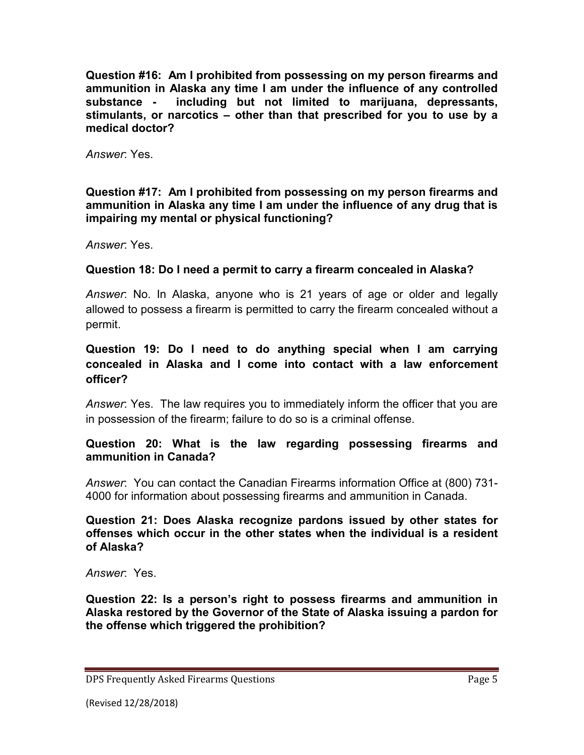**Question #16: Am I prohibited from possessing on my person firearms and ammunition in Alaska any time I am under the influence of any controlled substance - including but not limited to marijuana, depressants, stimulants, or narcotics – other than that prescribed for you to use by a medical doctor?**

*Answer*: Yes.

### **Question #17: Am I prohibited from possessing on my person firearms and ammunition in Alaska any time I am under the influence of any drug that is impairing my mental or physical functioning?**

*Answer*: Yes.

# **Question 18: Do I need a permit to carry a firearm concealed in Alaska?**

*Answer*: No. In Alaska, anyone who is 21 years of age or older and legally allowed to possess a firearm is permitted to carry the firearm concealed without a permit.

# **Question 19: Do I need to do anything special when I am carrying concealed in Alaska and I come into contact with a law enforcement officer?**

*Answer*: Yes. The law requires you to immediately inform the officer that you are in possession of the firearm; failure to do so is a criminal offense.

### **Question 20: What is the law regarding possessing firearms and ammunition in Canada?**

*Answer*: You can contact the Canadian Firearms information Office at (800) 731- 4000 for information about possessing firearms and ammunition in Canada.

**Question 21: Does Alaska recognize pardons issued by other states for offenses which occur in the other states when the individual is a resident of Alaska?**

*Answer*: Yes.

**Question 22: Is a person's right to possess firearms and ammunition in Alaska restored by the Governor of the State of Alaska issuing a pardon for the offense which triggered the prohibition?** 

DPS Frequently Asked Firearms Questions **Page 5** and the page 5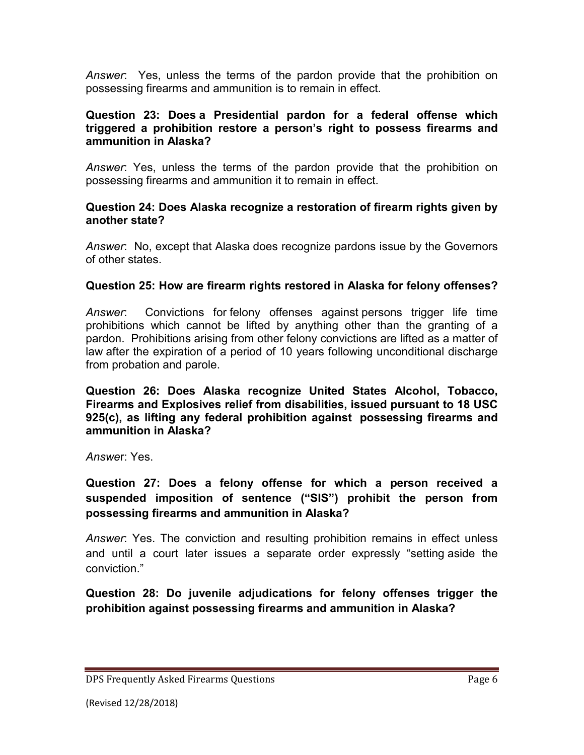*Answer*: Yes, unless the terms of the pardon provide that the prohibition on possessing firearms and ammunition is to remain in effect.

### **Question 23: Does a Presidential pardon for a federal offense which triggered a prohibition restore a person's right to possess firearms and ammunition in Alaska?**

*Answer*: Yes, unless the terms of the pardon provide that the prohibition on possessing firearms and ammunition it to remain in effect.

### **Question 24: Does Alaska recognize a restoration of firearm rights given by another state?**

*Answer*: No, except that Alaska does recognize pardons issue by the Governors of other states.

## **Question 25: How are firearm rights restored in Alaska for felony offenses?**

*Answer*: Convictions for felony offenses against persons trigger life time prohibitions which cannot be lifted by anything other than the granting of a pardon. Prohibitions arising from other felony convictions are lifted as a matter of law after the expiration of a period of 10 years following unconditional discharge from probation and parole.

**Question 26: Does Alaska recognize United States Alcohol, Tobacco, Firearms and Explosives relief from disabilities, issued pursuant to 18 USC 925(c), as lifting any federal prohibition against possessing firearms and ammunition in Alaska?**

*Answe*r: Yes.

**Question 27: Does a felony offense for which a person received a suspended imposition of sentence ("SIS") prohibit the person from possessing firearms and ammunition in Alaska?** 

*Answer*: Yes. The conviction and resulting prohibition remains in effect unless and until a court later issues a separate order expressly "setting aside the conviction."

**Question 28: Do juvenile adjudications for felony offenses trigger the prohibition against possessing firearms and ammunition in Alaska?** 

DPS Frequently Asked Firearms Questions **Page 6** and the page 6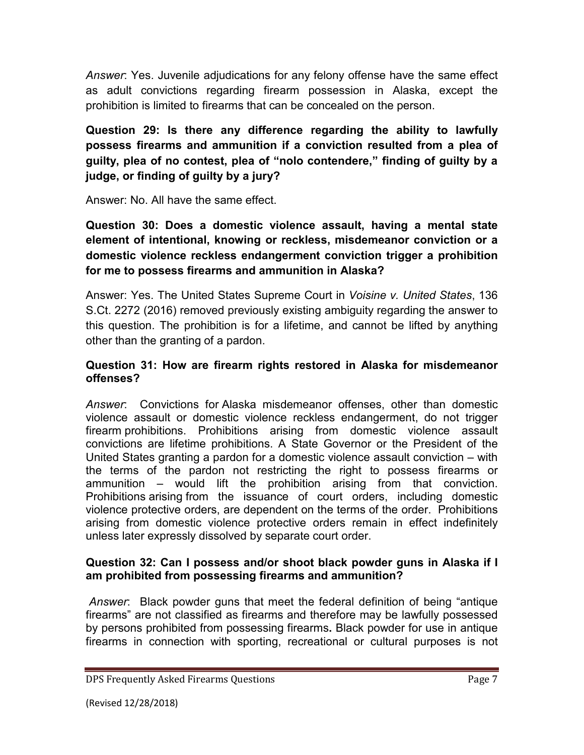*Answer*: Yes. Juvenile adjudications for any felony offense have the same effect as adult convictions regarding firearm possession in Alaska, except the prohibition is limited to firearms that can be concealed on the person.

**Question 29: Is there any difference regarding the ability to lawfully possess firearms and ammunition if a conviction resulted from a plea of guilty, plea of no contest, plea of "nolo contendere," finding of guilty by a judge, or finding of guilty by a jury?** 

Answer: No. All have the same effect.

**Question 30: Does a domestic violence assault, having a mental state element of intentional, knowing or reckless, misdemeanor conviction or a domestic violence reckless endangerment conviction trigger a prohibition for me to possess firearms and ammunition in Alaska?** 

Answer: Yes. The United States Supreme Court in *Voisine v. United States*, 136 S.Ct. 2272 (2016) removed previously existing ambiguity regarding the answer to this question. The prohibition is for a lifetime, and cannot be lifted by anything other than the granting of a pardon.

# **Question 31: How are firearm rights restored in Alaska for misdemeanor offenses?**

*Answer*: Convictions for Alaska misdemeanor offenses, other than domestic violence assault or domestic violence reckless endangerment, do not trigger firearm prohibitions. Prohibitions arising from domestic violence assault convictions are lifetime prohibitions. A State Governor or the President of the United States granting a pardon for a domestic violence assault conviction – with the terms of the pardon not restricting the right to possess firearms or ammunition – would lift the prohibition arising from that conviction. Prohibitions arising from the issuance of court orders, including domestic violence protective orders, are dependent on the terms of the order. Prohibitions arising from domestic violence protective orders remain in effect indefinitely unless later expressly dissolved by separate court order.

# **Question 32: Can I possess and/or shoot black powder guns in Alaska if I am prohibited from possessing firearms and ammunition?**

*Answer*: Black powder guns that meet the federal definition of being "antique firearms" are not classified as firearms and therefore may be lawfully possessed by persons prohibited from possessing firearms**.** Black powder for use in antique firearms in connection with sporting, recreational or cultural purposes is not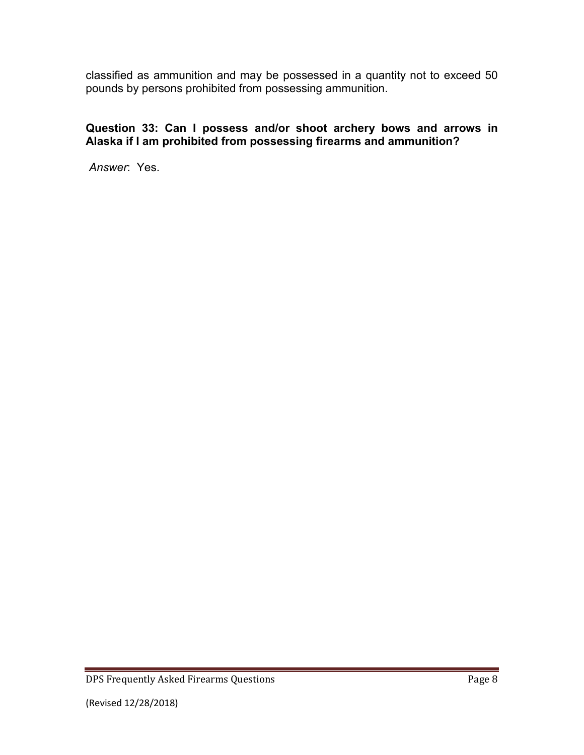classified as ammunition and may be possessed in a quantity not to exceed 50 pounds by persons prohibited from possessing ammunition.

# **Question 33: Can I possess and/or shoot archery bows and arrows in Alaska if I am prohibited from possessing firearms and ammunition?**

*Answer*: Yes.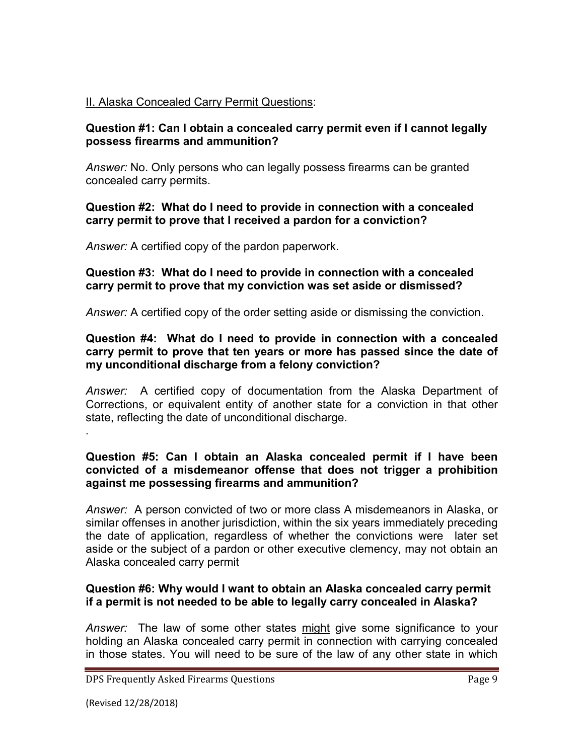## II. Alaska Concealed Carry Permit Questions:

#### **Question #1: Can I obtain a concealed carry permit even if I cannot legally possess firearms and ammunition?**

*Answer:* No. Only persons who can legally possess firearms can be granted concealed carry permits.

#### **Question #2: What do I need to provide in connection with a concealed carry permit to prove that I received a pardon for a conviction?**

*Answer:* A certified copy of the pardon paperwork.

#### **Question #3: What do I need to provide in connection with a concealed carry permit to prove that my conviction was set aside or dismissed?**

*Answer:* A certified copy of the order setting aside or dismissing the conviction.

### **Question #4: What do I need to provide in connection with a concealed carry permit to prove that ten years or more has passed since the date of my unconditional discharge from a felony conviction?**

*Answer:* A certified copy of documentation from the Alaska Department of Corrections, or equivalent entity of another state for a conviction in that other state, reflecting the date of unconditional discharge.

#### **Question #5: Can I obtain an Alaska concealed permit if I have been convicted of a misdemeanor offense that does not trigger a prohibition against me possessing firearms and ammunition?**

*Answer:* A person convicted of two or more class A misdemeanors in Alaska, or similar offenses in another jurisdiction, within the six years immediately preceding the date of application, regardless of whether the convictions were later set aside or the subject of a pardon or other executive clemency, may not obtain an Alaska concealed carry permit

### **Question #6: Why would I want to obtain an Alaska concealed carry permit if a permit is not needed to be able to legally carry concealed in Alaska?**

*Answer:* The law of some other states might give some significance to your holding an Alaska concealed carry permit in connection with carrying concealed in those states. You will need to be sure of the law of any other state in which

*.*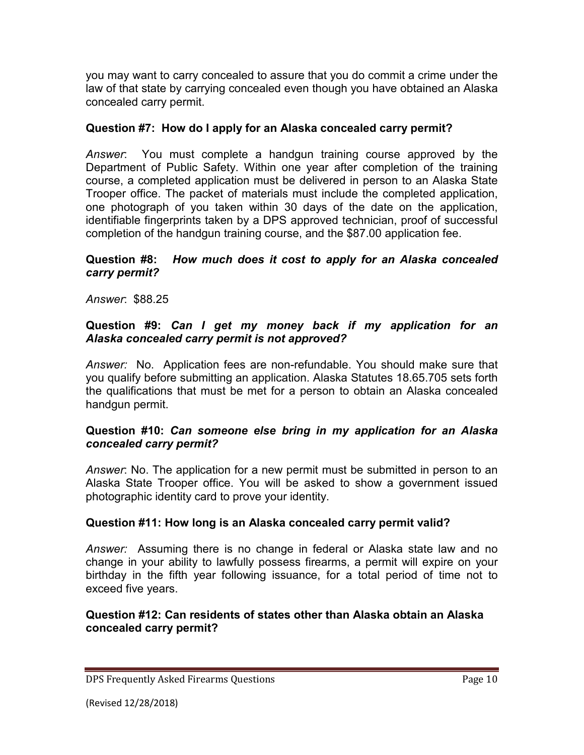you may want to carry concealed to assure that you do commit a crime under the law of that state by carrying concealed even though you have obtained an Alaska concealed carry permit.

# **Question #7: How do I apply for an Alaska concealed carry permit?**

*Answer*: You must complete a handgun training course approved by the Department of Public Safety. Within one year after completion of the training course, a completed application must be delivered in person to an Alaska State Trooper office. The packet of materials must include the completed application, one photograph of you taken within 30 days of the date on the application, identifiable fingerprints taken by a DPS approved technician, proof of successful completion of the handgun training course, and the \$87.00 application fee.

## **Question #8:** *How much does it cost to apply for an Alaska concealed carry permit?*

*Answer*: \$88.25

## **Question #9:** *Can I get my money back if my application for an Alaska concealed carry permit is not approved?*

*Answer:* No. Application fees are non-refundable. You should make sure that you qualify before submitting an application. Alaska Statutes 18.65.705 sets forth the qualifications that must be met for a person to obtain an Alaska concealed handgun permit.

## **Question #10:** *Can someone else bring in my application for an Alaska concealed carry permit?*

*Answer*: No. The application for a new permit must be submitted in person to an Alaska State Trooper office. You will be asked to show a government issued photographic identity card to prove your identity.

# **Question #11: How long is an Alaska concealed carry permit valid?**

*Answer:* Assuming there is no change in federal or Alaska state law and no change in your ability to lawfully possess firearms, a permit will expire on your birthday in the fifth year following issuance, for a total period of time not to exceed five years.

## **Question #12: Can residents of states other than Alaska obtain an Alaska concealed carry permit?**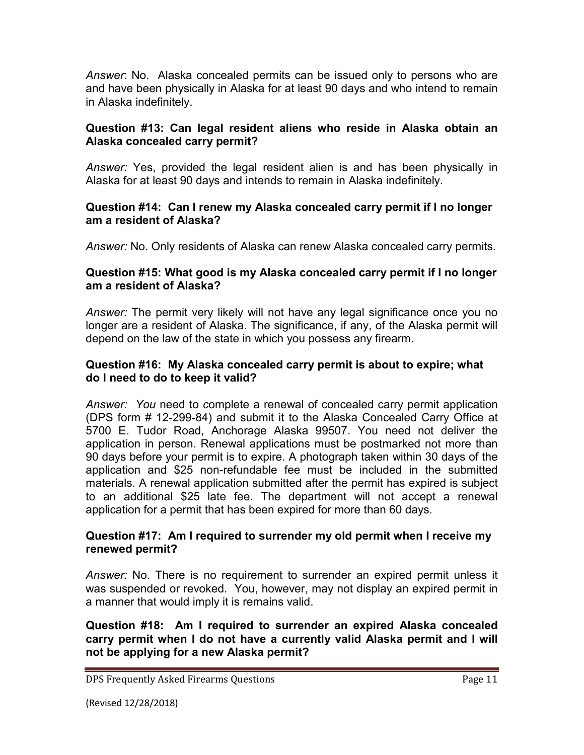*Answer*: No. Alaska concealed permits can be issued only to persons who are and have been physically in Alaska for at least 90 days and who intend to remain in Alaska indefinitely.

## **Question #13: Can legal resident aliens who reside in Alaska obtain an Alaska concealed carry permit?**

*Answer:* Yes, provided the legal resident alien is and has been physically in Alaska for at least 90 days and intends to remain in Alaska indefinitely.

### **Question #14: Can I renew my Alaska concealed carry permit if I no longer am a resident of Alaska?**

*Answer:* No. Only residents of Alaska can renew Alaska concealed carry permits.

## **Question #15: What good is my Alaska concealed carry permit if I no longer am a resident of Alaska?**

*Answer:* The permit very likely will not have any legal significance once you no longer are a resident of Alaska. The significance, if any, of the Alaska permit will depend on the law of the state in which you possess any firearm.

## **Question #16: My Alaska concealed carry permit is about to expire; what do I need to do to keep it valid?**

*Answer: You* need to *c*omplete a renewal of concealed carry permit application (DPS form # 12-299-84) and submit it to the Alaska Concealed Carry Office at 5700 E. Tudor Road, Anchorage Alaska 99507. You need not deliver the application in person. Renewal applications must be postmarked not more than 90 days before your permit is to expire. A photograph taken within 30 days of the application and \$25 non-refundable fee must be included in the submitted materials. A renewal application submitted after the permit has expired is subject to an additional \$25 late fee. The department will not accept a renewal application for a permit that has been expired for more than 60 days.

## **Question #17: Am I required to surrender my old permit when I receive my renewed permit?**

*Answer:* No. There is no requirement to surrender an expired permit unless it was suspended or revoked. You, however, may not display an expired permit in a manner that would imply it is remains valid.

**Question #18: Am I required to surrender an expired Alaska concealed carry permit when I do not have a currently valid Alaska permit and I will not be applying for a new Alaska permit?**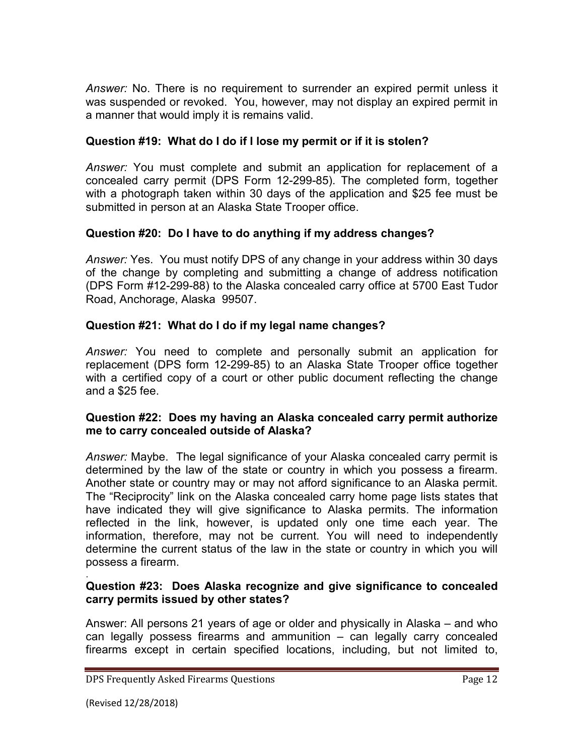*Answer:* No. There is no requirement to surrender an expired permit unless it was suspended or revoked. You, however, may not display an expired permit in a manner that would imply it is remains valid.

## **Question #19: What do I do if I lose my permit or if it is stolen?**

*Answer:* You must complete and submit an application for replacement of a concealed carry permit (DPS Form 12-299-85). The completed form, together with a photograph taken within 30 days of the application and \$25 fee must be submitted in person at an Alaska State Trooper office.

## **Question #20: Do I have to do anything if my address changes?**

*Answer:* Yes. You must notify DPS of any change in your address within 30 days of the change by completing and submitting a change of address notification (DPS Form #12-299-88) to the Alaska concealed carry office at 5700 East Tudor Road, Anchorage, Alaska 99507.

# **Question #21: What do I do if my legal name changes?**

*Answer:* You need to complete and personally submit an application for replacement (DPS form 12-299-85) to an Alaska State Trooper office together with a certified copy of a court or other public document reflecting the change and a \$25 fee.

## **Question #22: Does my having an Alaska concealed carry permit authorize me to carry concealed outside of Alaska?**

*Answer:* Maybe. The legal significance of your Alaska concealed carry permit is determined by the law of the state or country in which you possess a firearm. Another state or country may or may not afford significance to an Alaska permit. The "Reciprocity" link on the Alaska concealed carry home page lists states that have indicated they will give significance to Alaska permits. The information reflected in the link, however, is updated only one time each year. The information, therefore, may not be current. You will need to independently determine the current status of the law in the state or country in which you will possess a firearm. .

## **Question #23: Does Alaska recognize and give significance to concealed carry permits issued by other states?**

Answer: All persons 21 years of age or older and physically in Alaska – and who can legally possess firearms and ammunition – can legally carry concealed firearms except in certain specified locations, including, but not limited to,